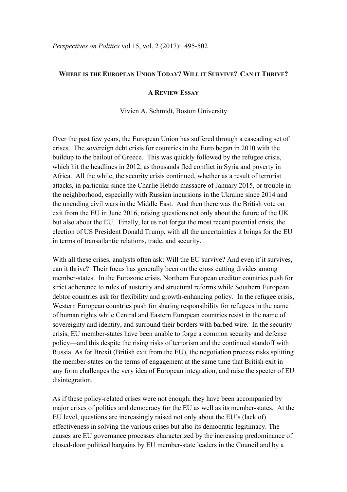# **WHERE IS THE EUROPEAN UNION TODAY? WILL IT SURVIVE? CAN IT THRIVE?**

# **A REVIEW ESSAY**

Vivien A. Schmidt, Boston University

Over the past few years, the European Union has suffered through a cascading set of crises. The sovereign debt crisis for countries in the Euro began in 2010 with the buildup to the bailout of Greece. This was quickly followed by the refugee crisis, which hit the headlines in 2012, as thousands fled conflict in Syria and poverty in Africa. All the while, the security crisis continued, whether as a result of terrorist attacks, in particular since the Charlie Hebdo massacre of January 2015, or trouble in the neighborhood, especially with Russian incursions in the Ukraine since 2014 and the unending civil wars in the Middle East. And then there was the British vote on exit from the EU in June 2016, raising questions not only about the future of the UK but also about the EU. Finally, let us not forget the most recent potential crisis, the election of US President Donald Trump, with all the uncertainties it brings for the EU in terms of transatlantic relations, trade, and security.

With all these crises, analysts often ask: Will the EU survive? And even if it survives, can it thrive? Their focus has generally been on the cross cutting divides among member-states. In the Eurozone crisis, Northern European creditor countries push for strict adherence to rules of austerity and structural reforms while Southern European debtor countries ask for flexibility and growth-enhancing policy. In the refugee crisis, Western European countries push for sharing responsibility for refugees in the name of human rights while Central and Eastern European countries resist in the name of sovereignty and identity, and surround their borders with barbed wire. In the security crisis, EU member-states have been unable to forge a common security and defense policy—and this despite the rising risks of terrorism and the continued standoff with Russia. As for Brexit (British exit from the EU), the negotiation process risks splitting the member-states on the terms of engagement at the same time that British exit in any form challenges the very idea of European integration, and raise the specter of EU disintegration.

As if these policy-related crises were not enough, they have been accompanied by major crises of politics and democracy for the EU as well as its member-states. At the EU level, questions are increasingly raised not only about the EU's (lack of) effectiveness in solving the various crises but also its democratic legitimacy. The causes are EU governance processes characterized by the increasing predominance of closed-door political bargains by EU member-state leaders in the Council and by a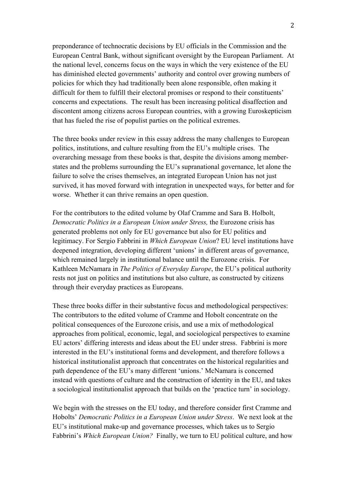preponderance of technocratic decisions by EU officials in the Commission and the European Central Bank, without significant oversight by the European Parliament. At the national level, concerns focus on the ways in which the very existence of the EU has diminished elected governments' authority and control over growing numbers of policies for which they had traditionally been alone responsible, often making it difficult for them to fulfill their electoral promises or respond to their constituents' concerns and expectations. The result has been increasing political disaffection and discontent among citizens across European countries, with a growing Euroskepticism that has fueled the rise of populist parties on the political extremes.

The three books under review in this essay address the many challenges to European politics, institutions, and culture resulting from the EU's multiple crises. The overarching message from these books is that, despite the divisions among memberstates and the problems surrounding the EU's supranational governance, let alone the failure to solve the crises themselves, an integrated European Union has not just survived, it has moved forward with integration in unexpected ways, for better and for worse. Whether it can thrive remains an open question.

For the contributors to the edited volume by Olaf Cramme and Sara B. Holbolt, *Democratic Politics in a European Union under Stress,* the Eurozone crisis has generated problems not only for EU governance but also for EU politics and legitimacy. For Sergio Fabbrini in *Which European Union*? EU level institutions have deepened integration, developing different 'unions' in different areas of governance, which remained largely in institutional balance until the Eurozone crisis. For Kathleen McNamara in *The Politics of Everyday Europe*, the EU's political authority rests not just on politics and institutions but also culture, as constructed by citizens through their everyday practices as Europeans.

These three books differ in their substantive focus and methodological perspectives: The contributors to the edited volume of Cramme and Hobolt concentrate on the political consequences of the Eurozone crisis, and use a mix of methodological approaches from political, economic, legal, and sociological perspectives to examine EU actors' differing interests and ideas about the EU under stress. Fabbrini is more interested in the EU's institutional forms and development, and therefore follows a historical institutionalist approach that concentrates on the historical regularities and path dependence of the EU's many different 'unions.' McNamara is concerned instead with questions of culture and the construction of identity in the EU, and takes a sociological institutionalist approach that builds on the 'practice turn' in sociology.

We begin with the stresses on the EU today, and therefore consider first Cramme and Hobolts' *Democratic Politics in a European Union under Stress*. We next look at the EU's institutional make-up and governance processes, which takes us to Sergio Fabbrini's *Which European Union?* Finally, we turn to EU political culture, and how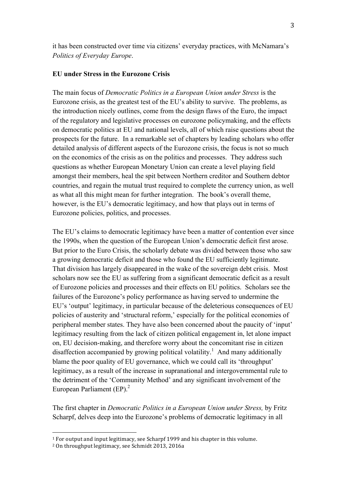it has been constructed over time via citizens' everyday practices, with McNamara's *Politics of Everyday Europe*.

### **EU under Stress in the Eurozone Crisis**

The main focus of *Democratic Politics in a European Union under Stress* is the Eurozone crisis, as the greatest test of the EU's ability to survive. The problems, as the introduction nicely outlines, come from the design flaws of the Euro, the impact of the regulatory and legislative processes on eurozone policymaking, and the effects on democratic politics at EU and national levels, all of which raise questions about the prospects for the future. In a remarkable set of chapters by leading scholars who offer detailed analysis of different aspects of the Eurozone crisis, the focus is not so much on the economics of the crisis as on the politics and processes. They address such questions as whether European Monetary Union can create a level playing field amongst their members, heal the spit between Northern creditor and Southern debtor countries, and regain the mutual trust required to complete the currency union, as well as what all this might mean for further integration. The book's overall theme, however, is the EU's democratic legitimacy, and how that plays out in terms of Eurozone policies, politics, and processes.

The EU's claims to democratic legitimacy have been a matter of contention ever since the 1990s, when the question of the European Union's democratic deficit first arose. But prior to the Euro Crisis, the scholarly debate was divided between those who saw a growing democratic deficit and those who found the EU sufficiently legitimate. That division has largely disappeared in the wake of the sovereign debt crisis. Most scholars now see the EU as suffering from a significant democratic deficit as a result of Eurozone policies and processes and their effects on EU politics. Scholars see the failures of the Eurozone's policy performance as having served to undermine the EU's 'output' legitimacy, in particular because of the deleterious consequences of EU policies of austerity and 'structural reform,' especially for the political economies of peripheral member states. They have also been concerned about the paucity of 'input' legitimacy resulting from the lack of citizen political engagement in, let alone impact on, EU decision-making, and therefore worry about the concomitant rise in citizen disaffection accompanied by growing political volatility.<sup>1</sup> And many additionally blame the poor quality of EU governance, which we could call its 'throughput' legitimacy, as a result of the increase in supranational and intergovernmental rule to the detriment of the 'Community Method' and any significant involvement of the European Parliament  $(EP)$ .<sup>2</sup>

The first chapter in *Democratic Politics in a European Union under Stress,* by Fritz Scharpf, delves deep into the Eurozone's problems of democratic legitimacy in all

 $1$  For output and input legitimacy, see Scharpf 1999 and his chapter in this volume.

<sup>&</sup>lt;sup>2</sup> On throughput legitimacy, see Schmidt 2013, 2016a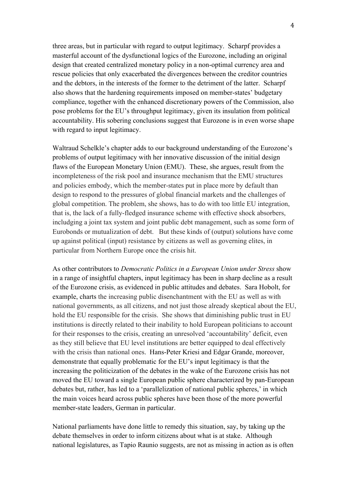three areas, but in particular with regard to output legitimacy. Scharpf provides a masterful account of the dysfunctional logics of the Eurozone, including an original design that created centralized monetary policy in a non-optimal currency area and rescue policies that only exacerbated the divergences between the creditor countries and the debtors, in the interests of the former to the detriment of the latter. Scharpf also shows that the hardening requirements imposed on member-states' budgetary compliance, together with the enhanced discretionary powers of the Commission, also pose problems for the EU's throughput legitimacy, given its insulation from political accountability. His sobering conclusions suggest that Eurozone is in even worse shape with regard to input legitimacy.

Waltraud Schelkle's chapter adds to our background understanding of the Eurozone's problems of output legitimacy with her innovative discussion of the initial design flaws of the European Monetary Union (EMU). These, she argues, result from the incompleteness of the risk pool and insurance mechanism that the EMU structures and policies embody, which the member-states put in place more by default than design to respond to the pressures of global financial markets and the challenges of global competition. The problem, she shows, has to do with too little EU integration, that is, the lack of a fully-fledged insurance scheme with effective shock absorbers, includging a joint tax system and joint public debt management, such as some form of Eurobonds or mutualization of debt. But these kinds of (output) solutions have come up against political (input) resistance by citizens as well as governing elites, in particular from Northern Europe once the crisis hit.

As other contributors to *Democratic Politics in a European Union under Stress* show in a range of insightful chapters, input legitimacy has been in sharp decline as a result of the Eurozone crisis, as evidenced in public attitudes and debates. Sara Hobolt, for example, charts the increasing public disenchantment with the EU as well as with national governments, as all citizens, and not just those already skeptical about the EU, hold the EU responsible for the crisis. She shows that diminishing public trust in EU institutions is directly related to their inability to hold European politicians to account for their responses to the crisis, creating an unresolved 'accountability' deficit, even as they still believe that EU level institutions are better equipped to deal effectively with the crisis than national ones. Hans-Peter Kriesi and Edgar Grande, moreover, demonstrate that equally problematic for the EU's input legitimacy is that the increasing the politicization of the debates in the wake of the Eurozone crisis has not moved the EU toward a single European public sphere characterized by pan-European debates but, rather, has led to a 'parallelization of national public spheres,' in which the main voices heard across public spheres have been those of the more powerful member-state leaders, German in particular.

National parliaments have done little to remedy this situation, say, by taking up the debate themselves in order to inform citizens about what is at stake. Although national legislatures, as Tapio Raunio suggests, are not as missing in action as is often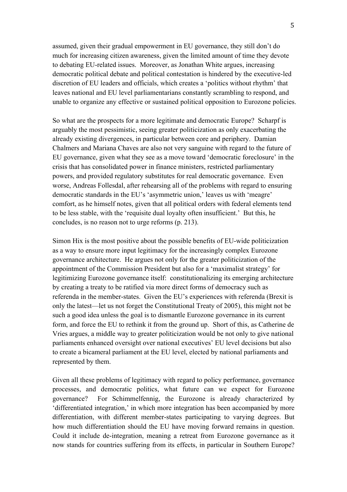assumed, given their gradual empowerment in EU governance, they still don't do much for increasing citizen awareness, given the limited amount of time they devote to debating EU-related issues. Moreover, as Jonathan White argues, increasing democratic political debate and political contestation is hindered by the executive-led discretion of EU leaders and officials, which creates a 'politics without rhythm' that leaves national and EU level parliamentarians constantly scrambling to respond, and unable to organize any effective or sustained political opposition to Eurozone policies.

So what are the prospects for a more legitimate and democratic Europe? Scharpf is arguably the most pessimistic, seeing greater politicization as only exacerbating the already existing divergences, in particular between core and periphery. Damian Chalmers and Mariana Chaves are also not very sanguine with regard to the future of EU governance, given what they see as a move toward 'democratic foreclosure' in the crisis that has consolidated power in finance ministers, restricted parliamentary powers, and provided regulatory substitutes for real democratic governance. Even worse, Andreas Follesdal, after rehearsing all of the problems with regard to ensuring democratic standards in the EU's 'asymmetric union,' leaves us with 'meagre' comfort, as he himself notes, given that all political orders with federal elements tend to be less stable, with the 'requisite dual loyalty often insufficient.' But this, he concludes, is no reason not to urge reforms (p. 213).

Simon Hix is the most positive about the possible benefits of EU-wide politicization as a way to ensure more input legitimacy for the increasingly complex Eurozone governance architecture. He argues not only for the greater politicization of the appointment of the Commission President but also for a 'maximalist strategy' for legitimizing Eurozone governance itself: constitutionalizing its emerging architecture by creating a treaty to be ratified via more direct forms of democracy such as referenda in the member-states. Given the EU's experiences with referenda (Brexit is only the latest—let us not forget the Constitutional Treaty of 2005), this might not be such a good idea unless the goal is to dismantle Eurozone governance in its current form, and force the EU to rethink it from the ground up. Short of this, as Catherine de Vries argues, a middle way to greater politicization would be not only to give national parliaments enhanced oversight over national executives' EU level decisions but also to create a bicameral parliament at the EU level, elected by national parliaments and represented by them.

Given all these problems of legitimacy with regard to policy performance, governance processes, and democratic politics, what future can we expect for Eurozone governance? For Schimmelfennig, the Eurozone is already characterized by 'differentiated integration,' in which more integration has been accompanied by more differentiation, with different member-states participating to varying degrees. But how much differentiation should the EU have moving forward remains in question. Could it include de-integration, meaning a retreat from Eurozone governance as it now stands for countries suffering from its effects, in particular in Southern Europe?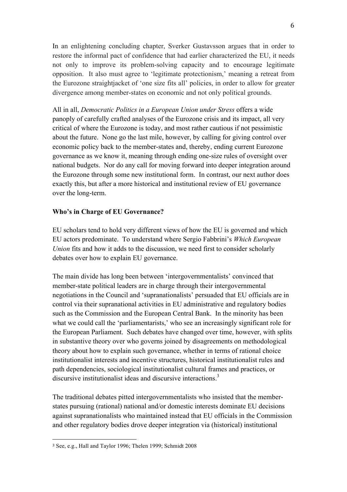In an enlightening concluding chapter, Sverker Gustavsson argues that in order to restore the informal pact of confidence that had earlier characterized the EU, it needs not only to improve its problem-solving capacity and to encourage legitimate opposition. It also must agree to 'legitimate protectionism,' meaning a retreat from the Eurozone straightjacket of 'one size fits all' policies, in order to allow for greater divergence among member-states on economic and not only political grounds.

All in all, *Democratic Politics in a European Union under Stress* offers a wide panoply of carefully crafted analyses of the Eurozone crisis and its impact, all very critical of where the Eurozone is today, and most rather cautious if not pessimistic about the future. None go the last mile, however, by calling for giving control over economic policy back to the member-states and, thereby, ending current Eurozone governance as we know it, meaning through ending one-size rules of oversight over national budgets. Nor do any call for moving forward into deeper integration around the Eurozone through some new institutional form. In contrast, our next author does exactly this, but after a more historical and institutional review of EU governance over the long-term.

# **Who's in Charge of EU Governance?**

EU scholars tend to hold very different views of how the EU is governed and which EU actors predominate. To understand where Sergio Fabbrini's *Which European Union* fits and how it adds to the discussion, we need first to consider scholarly debates over how to explain EU governance.

The main divide has long been between 'intergovernmentalists' convinced that member-state political leaders are in charge through their intergovernmental negotiations in the Council and 'supranationalists' persuaded that EU officials are in control via their supranational activities in EU administrative and regulatory bodies such as the Commission and the European Central Bank. In the minority has been what we could call the 'parliamentarists,' who see an increasingly significant role for the European Parliament. Such debates have changed over time, however, with splits in substantive theory over who governs joined by disagreements on methodological theory about how to explain such governance, whether in terms of rational choice institutionalist interests and incentive structures, historical institutionalist rules and path dependencies, sociological institutionalist cultural frames and practices, or discursive institutionalist ideas and discursive interactions.<sup>3</sup>

The traditional debates pitted intergovernmentalists who insisted that the memberstates pursuing (rational) national and/or domestic interests dominate EU decisions against supranationalists who maintained instead that EU officials in the Commission and other regulatory bodies drove deeper integration via (historical) institutional

<sup>3</sup> See, e.g., Hall and Taylor 1996; Thelen 1999; Schmidt 2008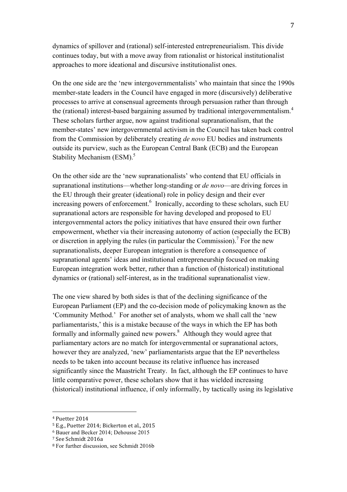dynamics of spillover and (rational) self-interested entrepreneurialism. This divide continues today, but with a move away from rationalist or historical institutionalist approaches to more ideational and discursive institutionalist ones.

On the one side are the 'new intergovernmentalists' who maintain that since the 1990s member-state leaders in the Council have engaged in more (discursively) deliberative processes to arrive at consensual agreements through persuasion rather than through the (rational) interest-based bargaining assumed by traditional intergovernmentalism.<sup>4</sup> These scholars further argue, now against traditional supranationalism, that the member-states' new intergovernmental activism in the Council has taken back control from the Commission by deliberately creating *de novo* EU bodies and instruments outside its purview, such as the European Central Bank (ECB) and the European Stability Mechanism (ESM).<sup>5</sup>

On the other side are the 'new supranationalists' who contend that EU officials in supranational institutions—whether long-standing or *de novo*—are driving forces in the EU through their greater (ideational) role in policy design and their ever increasing powers of enforcement.<sup>6</sup> Ironically, according to these scholars, such EU supranational actors are responsible for having developed and proposed to EU intergovernmental actors the policy initiatives that have ensured their own further empowerment, whether via their increasing autonomy of action (especially the ECB) or discretion in applying the rules (in particular the Commission).<sup>7</sup> For the new supranationalists, deeper European integration is therefore a consequence of supranational agents' ideas and institutional entrepreneurship focused on making European integration work better, rather than a function of (historical) institutional dynamics or (rational) self-interest, as in the traditional supranationalist view.

The one view shared by both sides is that of the declining significance of the European Parliament (EP) and the co-decision mode of policymaking known as the 'Community Method.' For another set of analysts, whom we shall call the 'new parliamentarists,' this is a mistake because of the ways in which the EP has both formally and informally gained new powers. 8 Although they would agree that parliamentary actors are no match for intergovernmental or supranational actors, however they are analyzed, 'new' parliamentarists argue that the EP nevertheless needs to be taken into account because its relative influence has increased significantly since the Maastricht Treaty. In fact, although the EP continues to have little comparative power, these scholars show that it has wielded increasing (historical) institutional influence, if only informally, by tactically using its legislative

<sup>&</sup>lt;sup>4</sup> Puetter 2014

<sup>&</sup>lt;sup>5</sup> E.g., Puetter 2014; Bickerton et al., 2015

<sup>6</sup> Bauer and Becker 2014; Dehousse 2015

<sup>7</sup> See Schmidt 2016a

<sup>8</sup> For further discussion, see Schmidt 2016b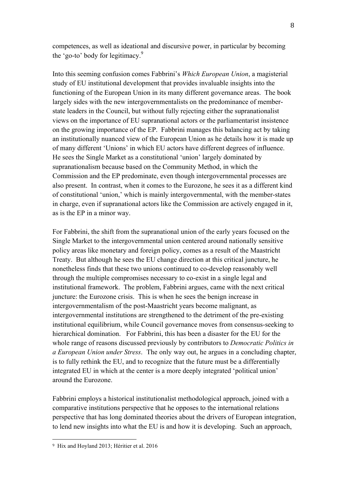competences, as well as ideational and discursive power, in particular by becoming the 'go-to' body for legitimacy.<sup>9</sup>

Into this seeming confusion comes Fabbrini's *Which European Union*, a magisterial study of EU institutional development that provides invaluable insights into the functioning of the European Union in its many different governance areas. The book largely sides with the new intergovernmentalists on the predominance of memberstate leaders in the Council, but without fully rejecting either the supranationalist views on the importance of EU supranational actors or the parliamentarist insistence on the growing importance of the EP. Fabbrini manages this balancing act by taking an institutionally nuanced view of the European Union as he details how it is made up of many different 'Unions' in which EU actors have different degrees of influence. He sees the Single Market as a constitutional 'union' largely dominated by supranationalism because based on the Community Method, in which the Commission and the EP predominate, even though intergovernmental processes are also present. In contrast, when it comes to the Eurozone, he sees it as a different kind of constitutional 'union,' which is mainly intergovernmental, with the member-states in charge, even if supranational actors like the Commission are actively engaged in it, as is the EP in a minor way.

For Fabbrini, the shift from the supranational union of the early years focused on the Single Market to the intergovernmental union centered around nationally sensitive policy areas like monetary and foreign policy, comes as a result of the Maastricht Treaty. But although he sees the EU change direction at this critical juncture, he nonetheless finds that these two unions continued to co-develop reasonably well through the multiple compromises necessary to co-exist in a single legal and institutional framework. The problem, Fabbrini argues, came with the next critical juncture: the Eurozone crisis. This is when he sees the benign increase in intergovernmentalism of the post-Maastricht years become malignant, as intergovernmental institutions are strengthened to the detriment of the pre-existing institutional equilibrium, while Council governance moves from consensus-seeking to hierarchical domination. For Fabbrini, this has been a disaster for the EU for the whole range of reasons discussed previously by contributors to *Democratic Politics in a European Union under Stress*. The only way out, he argues in a concluding chapter, is to fully rethink the EU, and to recognize that the future must be a differentially integrated EU in which at the center is a more deeply integrated 'political union' around the Eurozone.

Fabbrini employs a historical institutionalist methodological approach, joined with a comparative institutions perspective that he opposes to the international relations perspective that has long dominated theories about the drivers of European integration, to lend new insights into what the EU is and how it is developing. Such an approach,

<sup>9</sup> Hix and Hoyland 2013; Héritier et al. 2016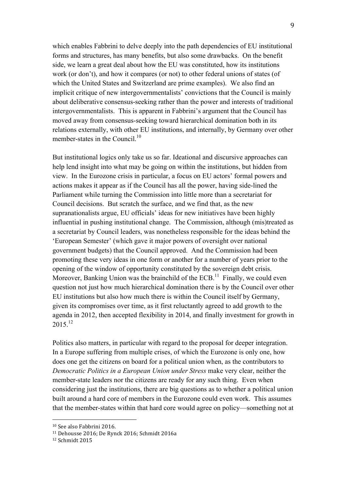which enables Fabbrini to delve deeply into the path dependencies of EU institutional forms and structures, has many benefits, but also some drawbacks. On the benefit side, we learn a great deal about how the EU was constituted, how its institutions work (or don't), and how it compares (or not) to other federal unions of states (of which the United States and Switzerland are prime examples). We also find an implicit critique of new intergovernmentalists' convictions that the Council is mainly about deliberative consensus-seeking rather than the power and interests of traditional intergovernmentalists. This is apparent in Fabbrini's argument that the Council has moved away from consensus-seeking toward hierarchical domination both in its relations externally, with other EU institutions, and internally, by Germany over other member-states in the Council.<sup>10</sup>

But institutional logics only take us so far. Ideational and discursive approaches can help lend insight into what may be going on within the institutions, but hidden from view. In the Eurozone crisis in particular, a focus on EU actors' formal powers and actions makes it appear as if the Council has all the power, having side-lined the Parliament while turning the Commission into little more than a secretariat for Council decisions. But scratch the surface, and we find that, as the new supranationalists argue, EU officials' ideas for new initiatives have been highly influential in pushing institutional change. The Commission, although (mis)treated as a secretariat by Council leaders, was nonetheless responsible for the ideas behind the 'European Semester' (which gave it major powers of oversight over national government budgets) that the Council approved. And the Commission had been promoting these very ideas in one form or another for a number of years prior to the opening of the window of opportunity constituted by the sovereign debt crisis. Moreover, Banking Union was the brainchild of the  $ECB<sup>11</sup>$  Finally, we could even question not just how much hierarchical domination there is by the Council over other EU institutions but also how much there is within the Council itself by Germany, given its compromises over time, as it first reluctantly agreed to add growth to the agenda in 2012, then accepted flexibility in 2014, and finally investment for growth in  $2015^{12}$ 

Politics also matters, in particular with regard to the proposal for deeper integration. In a Europe suffering from multiple crises, of which the Eurozone is only one, how does one get the citizens on board for a political union when, as the contributors to *Democratic Politics in a European Union under Stress* make very clear, neither the member-state leaders nor the citizens are ready for any such thing. Even when considering just the institutions, there are big questions as to whether a political union built around a hard core of members in the Eurozone could even work. This assumes that the member-states within that hard core would agree on policy—something not at

<sup>&</sup>lt;sup>10</sup> See also Fabbrini 2016.

<sup>&</sup>lt;sup>11</sup> Dehousse 2016; De Rynck 2016; Schmidt 2016a

 $12$  Schmidt  $2015$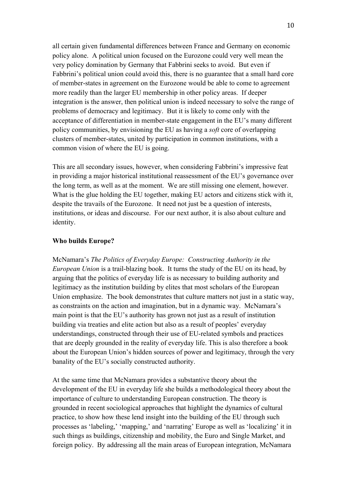all certain given fundamental differences between France and Germany on economic policy alone. A political union focused on the Eurozone could very well mean the very policy domination by Germany that Fabbrini seeks to avoid. But even if Fabbrini's political union could avoid this, there is no guarantee that a small hard core of member-states in agreement on the Eurozone would be able to come to agreement more readily than the larger EU membership in other policy areas. If deeper integration is the answer, then political union is indeed necessary to solve the range of problems of democracy and legitimacy. But it is likely to come only with the acceptance of differentiation in member-state engagement in the EU's many different policy communities, by envisioning the EU as having a *soft* core of overlapping clusters of member-states, united by participation in common institutions, with a common vision of where the EU is going.

This are all secondary issues, however, when considering Fabbrini's impressive feat in providing a major historical institutional reassessment of the EU's governance over the long term, as well as at the moment. We are still missing one element, however. What is the glue holding the EU together, making EU actors and citizens stick with it, despite the travails of the Eurozone. It need not just be a question of interests, institutions, or ideas and discourse. For our next author, it is also about culture and identity.

#### **Who builds Europe?**

McNamara's *The Politics of Everyday Europe: Constructing Authority in the European Union* is a trail-blazing book. It turns the study of the EU on its head, by arguing that the politics of everyday life is as necessary to building authority and legitimacy as the institution building by elites that most scholars of the European Union emphasize. The book demonstrates that culture matters not just in a static way, as constraints on the action and imagination, but in a dynamic way. McNamara's main point is that the EU's authority has grown not just as a result of institution building via treaties and elite action but also as a result of peoples' everyday understandings, constructed through their use of EU-related symbols and practices that are deeply grounded in the reality of everyday life. This is also therefore a book about the European Union's hidden sources of power and legitimacy, through the very banality of the EU's socially constructed authority.

At the same time that McNamara provides a substantive theory about the development of the EU in everyday life she builds a methodological theory about the importance of culture to understanding European construction. The theory is grounded in recent sociological approaches that highlight the dynamics of cultural practice, to show how these lend insight into the building of the EU through such processes as 'labeling,' 'mapping,' and 'narrating' Europe as well as 'localizing' it in such things as buildings, citizenship and mobility, the Euro and Single Market, and foreign policy. By addressing all the main areas of European integration, McNamara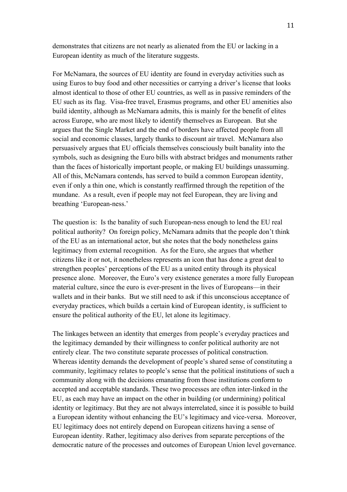demonstrates that citizens are not nearly as alienated from the EU or lacking in a European identity as much of the literature suggests.

For McNamara, the sources of EU identity are found in everyday activities such as using Euros to buy food and other necessities or carrying a driver's license that looks almost identical to those of other EU countries, as well as in passive reminders of the EU such as its flag. Visa-free travel, Erasmus programs, and other EU amenities also build identity, although as McNamara admits, this is mainly for the benefit of elites across Europe, who are most likely to identify themselves as European. But she argues that the Single Market and the end of borders have affected people from all social and economic classes, largely thanks to discount air travel. McNamara also persuasively argues that EU officials themselves consciously built banality into the symbols, such as designing the Euro bills with abstract bridges and monuments rather than the faces of historically important people, or making EU buildings unassuming. All of this, McNamara contends, has served to build a common European identity, even if only a thin one, which is constantly reaffirmed through the repetition of the mundane. As a result, even if people may not feel European, they are living and breathing 'European-ness.'

The question is: Is the banality of such European-ness enough to lend the EU real political authority? On foreign policy, McNamara admits that the people don't think of the EU as an international actor, but she notes that the body nonetheless gains legitimacy from external recognition. As for the Euro, she argues that whether citizens like it or not, it nonetheless represents an icon that has done a great deal to strengthen peoples' perceptions of the EU as a united entity through its physical presence alone. Moreover, the Euro's very existence generates a more fully European material culture, since the euro is ever-present in the lives of Europeans—in their wallets and in their banks. But we still need to ask if this unconscious acceptance of everyday practices, which builds a certain kind of European identity, is sufficient to ensure the political authority of the EU, let alone its legitimacy.

The linkages between an identity that emerges from people's everyday practices and the legitimacy demanded by their willingness to confer political authority are not entirely clear. The two constitute separate processes of political construction. Whereas identity demands the development of people's shared sense of constituting a community, legitimacy relates to people's sense that the political institutions of such a community along with the decisions emanating from those institutions conform to accepted and acceptable standards. These two processes are often inter-linked in the EU, as each may have an impact on the other in building (or undermining) political identity or legitimacy. But they are not always interrelated, since it is possible to build a European identity without enhancing the EU's legitimacy and vice-versa. Moreover, EU legitimacy does not entirely depend on European citizens having a sense of European identity. Rather, legitimacy also derives from separate perceptions of the democratic nature of the processes and outcomes of European Union level governance.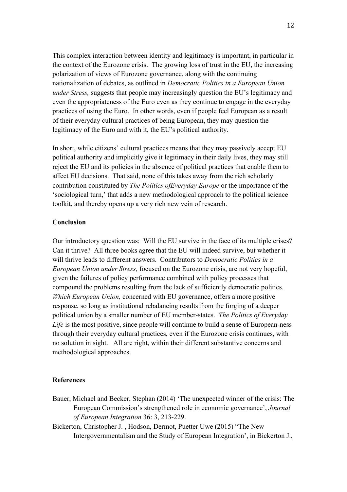This complex interaction between identity and legitimacy is important, in particular in the context of the Eurozone crisis. The growing loss of trust in the EU, the increasing polarization of views of Eurozone governance, along with the continuing nationalization of debates, as outlined in *Democratic Politics in a European Union under Stress,* suggests that people may increasingly question the EU's legitimacy and even the appropriateness of the Euro even as they continue to engage in the everyday practices of using the Euro. In other words, even if people feel European as a result of their everyday cultural practices of being European, they may question the legitimacy of the Euro and with it, the EU's political authority.

In short, while citizens' cultural practices means that they may passively accept EU political authority and implicitly give it legitimacy in their daily lives, they may still reject the EU and its policies in the absence of political practices that enable them to affect EU decisions. That said, none of this takes away from the rich scholarly contribution constituted by *The Politics ofEveryday Europe* or the importance of the 'sociological turn,' that adds a new methodological approach to the political science toolkit, and thereby opens up a very rich new vein of research.

# **Conclusion**

Our introductory question was: Will the EU survive in the face of its multiple crises? Can it thrive? All three books agree that the EU will indeed survive, but whether it will thrive leads to different answers. Contributors to *Democratic Politics in a European Union under Stress,* focused on the Eurozone crisis, are not very hopeful, given the failures of policy performance combined with policy processes that compound the problems resulting from the lack of sufficiently democratic politics. *Which European Union,* concerned with EU governance, offers a more positive response, so long as institutional rebalancing results from the forging of a deeper political union by a smaller number of EU member-states. *The Politics of Everyday Life* is the most positive, since people will continue to build a sense of European-ness through their everyday cultural practices, even if the Eurozone crisis continues, with no solution in sight. All are right, within their different substantive concerns and methodological approaches.

#### **References**

- Bauer, Michael and Becker, Stephan (2014) 'The unexpected winner of the crisis: The European Commission's strengthened role in economic governance', *Journal of European Integration* 36: 3, 213-229.
- Bickerton, Christopher J. , Hodson, Dermot, Puetter Uwe (2015) "The New Intergovernmentalism and the Study of European Integration', in Bickerton J.,